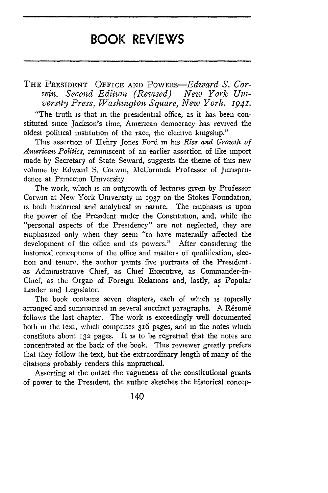## **BOOK REVIEWS**

THE PRESIDENT OFFICE AND PowERs-Edward *S.* Corwin. Second Edition (Revised) New York Uni $v$ ersity Press, Washington Square, New York. **1941**.

"The truth is that in the presidential office, as it has been constituted since Jackson's time, American democracy has revived the oldest political institution of the race, the elective kingship."

This assertion of Hehry Jones Ford in his *Rise and Growt] of American Politics,* reminiscent of an earlier assertion of like import made by Secretary of State Seward, suggests the theme of this new volume by Edward S. Corwin, McCormick Professor of Jurisprudence at Princeton University

The work, which is an outgrowth of lectures given by Professor Corwin at New York University in 1937 on the Stokes Foundation, is both historical and analytical in nature. The emphasis is upon the power of the President under the Constitution, and, while the "personal aspects of the Presidency" are not neglected, they are emphasized only when they seem "to have materially affected the development of the office and its powers." After considering the historical conceptions of the office and matters of qualification, election and tenure, the author paints five portraits of the President. as Admimstrative Chief, as Chief Executive, as Commander-in-Chief, as the Organ of Foreign Relations and, lastly, as Popular Leader and Legislator.

The book contains seven chapters, each of which is topically arranged and summarized in several succinct paragraphs. A Résumé follows the last chapter. The work is exceedingly well documented both in the text, which comprises 316 pages, and in the notes which constitute about **132** pages. It is to be regretted that the notes are concentrated at the back of the book. This reviewer greatly prefers that they follow the text, but the extraordinary length of many of the citations probably renders this impractical.

Asserting at the outset the vagueness of the constitutional grants of power to the President, the author sketches the historical concep-

140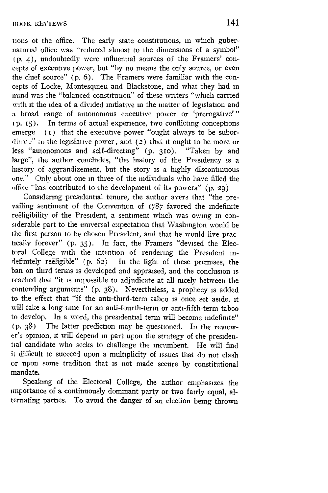tions ot the office. The early state constitutions, in which gubernatorial office was "reduced almost to the dimensions of a symbol" (P. 4), undoubtedly were influential sources of the Framers' concepts of executive power, but "by no means the only source, or even the chief source" (p. 6). The Framers were familiar with the concepts of Locke, Montesquieu and Blackstone, and what they had in mind was the "balanced constitution" of these writers "which carried with it the idea of a divided initiative in the matter of legislation and a broad range of autonomous executive power or 'prerogative'" (p. 15). In terms of actual experience, two conflicting conceptions emerge (1) that the executive power "ought always to be subordinate" to the legislative power, and (2) that it ought to be more or less "autonomous and self-directing" (p. **310).** "Taken by and large", the author concludes, "the history of the Presidency is a history of aggrandizement, but the story is a highly discontinuous one." Only about one in three of the individuals who have filled the office "has contributed to the development of its powers"  $(p. 29)$ 

Considering presidential tenure, the author avers that "the prevailing sentiment of the Convention of 1787 favored the indefinite reëligibility of the President, a sentiment which was owing in considerable part to the universal expectation that Washington would be the first person to be chosen President, and that he would live practicallv forever" (p. 35). In fact, the Framers "devised the Electoral College with the intention of rendering the President indefinitely reëligible" (p. 62) In the light of these premises, the ban on third terms is developed and appraised, and the conclusion is reached that "it is impossible to adjudicate at all nicely between the contending arguments" (p. 38). Nevertheless, a prophecy is added to the effect that "if the anti-third-term taboo is once set aside, **it** will take a long time for an anti-fourth-term or anti-fifth-term taboo to develop. In a word, the presidential term will become indefinite" (p. 38) The latter prediction may be questioned. In the reviewer's opinion, it will depend in part upon the strategy of the presidential candidate who seeks to challenge the incumbent. He will find it difficult to succeed upon a multiplicity of issues that do not clash or upon some tradition that is not made secure by constitutional mandate.

Speaking of the Electoral College, the author emphasizes the importance of a continuously dominant party or two fairly equal, alternating parties. To avoid the danger of an election being thrown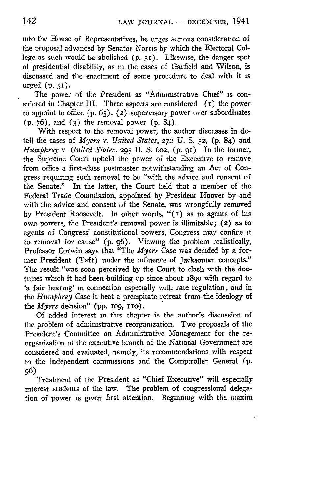into the House of Representatives, he urges serious consideration of the proposal advanced **-by** Senator Norris by which the Electoral College as such would be abolished (p. 51). Likewise, the danger spot of presidential disability, as in the cases of Garfield and Wilson, is discussed and the enactment of some procedure to deal with it is urged (p. **51).**

The power of the President as "Administrative Chief" is considered in Chapter III. Three aspects are considered **(i)** the power to appoint to office  $(p. 65)$ ,  $(2)$  supervisory power over subordinates (p. 76), and **(3)** the removal power (p. 84).

With respect to the removal power, the author discusses in detail the cases of *Myers v. United States,* **272 U.** S. **52, (p.** 84) and *Hnwphrey v United States,* **295 U.** S. 6o2, (p. 91) In the former, the Supreme Court upheld the power of the Executive to remove from office a first-class postmaster notwithstanding an Act of Congress requiring such removal to be "with the advice and consent of the Senate." In the latter, the Court held that a member of the Federal Trade Commission, appointed **by** President Hoover **by** and with the advice and consent of the Senate, was wrongfully removed **by** President Roosevelt. In other words, "(i) as to agents of his own powers, the President's removal power is illimitable; (2) as to agents of Congress' constitutional powers, Congress may confine **it** to removal for cause" **(p.** 96). Viewing the problem realistically, Professor Corwin says that "The *Myers* Case was decided **by** a former President (Taft) under the influence of Jacksonian concepts." The result "was soon perceived **by** the Court to clash with the doctrines which it bad been building up since about 189o with regard to 'a fair hearing' in connection especially with rate regulation, and in the *Humphrey* Case it beat a precipitate retreat from the ideology of the *Myers* decision" (pp. 109, 110).

Of added interest in this chapter is the author's discussion of the problem of administrative reorganization. Two proposals of the President's Committee on Administrative Management for the reorganization of the executive branch of the National Government are considered and evaluated, namely, its recommendations with respect to the independent commissions and the Comptroller General (p. 96)

Treatment of the President as "Chief Executive" will especially interest students of the law. The problem of congressional delegation of power is given first attention. Beginning with the maxim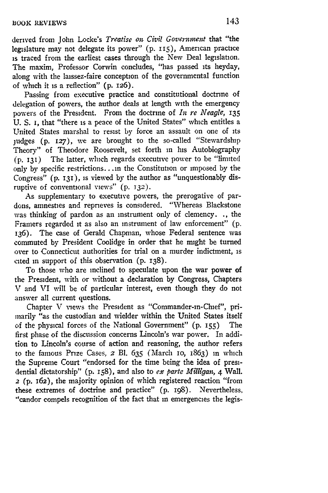derived from John Locke's *Treatise on Civil Government* that "the legislature may not delegate its power" (p. 115), American practice **is** traced from the earliest cases through the New Deal legislation. The maxim, Professor Corwin concludes, "has passed its heyday, along with the laissez-faire conception of the governmental function of which it is a reflection" (p. 126).

Passing from executive practice and constitutional doctrine of delegation of powers, the author deals at length with the emergency powers of the President. From the doctrine of *In re Neagle,* **135 U.** S. i, that "there is a peace of the United States" which entitles a United States marshal to resist by force an assault on one of its judges (p. **127),** we are brought to the so-called "Stewardship Theory" of Theodore Roosevelt, set forth in his Autobiography (p. 131) The latter, which regards executive power to be "limited only by specific restrictions... in the Constitution or imposed by the Congress" (p. **131),** is viewed by the author as "unquestionably disruptive of conventional views" (p. **132).**

As supplementary to executive powers, the prerogative of pardons, amnesties and reprieves is considered. "Whereas Blackstone was thinking of pardon as an instrument only of clemency. **.,** the Framers regarded **it** as also an instrument of law enforcement" (p. 136). The case of Gerald Chapman, whose Federal sentence was commuted by President Coolidge in order that he might be turned over to Connecticut authorities for trial on a murder indictment, is cited in support of this observation (p. 138).

To those who are inclined to speculate upon the war power **of** the President, with or without a declaration by Congress, Chapters V and VI will be of particular interest, even though they do not answer all current questions.

Chapter V views the President as "Commander-in-Chief", primarily "as the custodian and wielder within the United States itself of the physical forces of the National Government" (p. **I55)** The first phase of the discussion concerns Lincoln's war power. In addition to Lincoln's course of action and reasoning, the author refers to the famous Prize Cases, *2* Bl. 635 (March **IO,** 1863) in which the Supreme Court "endorsed for the time being the idea of presidential dictatorship" (p. **158),** and also to ex *parte Milligan, 4* Wall. **2** (p. **162),** the majority opinion of which registered reaction "from these extremes of doctrine and practice" (p. 198). Nevertheless, "candor compels recognition of the fact that in emergencies the legis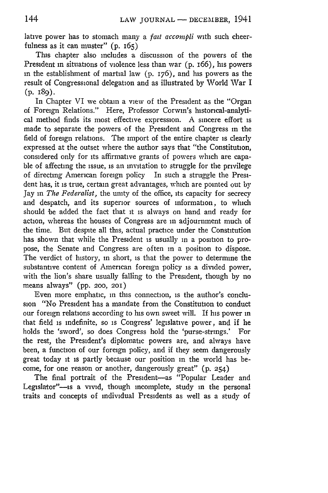lative power has to stomach many a *fait accompli* with such cheerfulness as it can muster" (p. 165)

This chapter also includes a discussion of the powers of the President in situations of violence less than war (p. 166), his powers in the establishment of martial law (p. 176), and his powers as the result of Congressional delegation and as illustrated by VWorld War I (p. **I89).**

In Chapter VI we obtain a view of the President as the "Organ of Foreign Relations." Here, Professor Corwin's historical-analytical method finds its most effective expression. A sincere effort is made to separate the powers of the President and Congress in the field of foreign relations. The import of the entire chapter is clearly expressed at the outset where the author says that "the Constitution, considered only for its affirmative grants of powers which are capable of affecting the issue, is an invitation to struggle for the privilege of directing American foreign policy In such a struggle the President has, it is true, certain great advantages, which are pointed out by Jay in *The Federalist,* the unity of the office, its capacity for secrecy and despatch, and its superior sources of information, to which should be added the fact that it is always on hand and ready for action, whereas the houses of Congress are in adjournment much of the time. But despite all this, actual practice under the Constitution has shown that while the President is usually in a position to propose, the Senate and Congress are often in a position to dispose. The verdict of history, in short, is that the power to determine the substantive content of American foreign policy is a divided power, with the lion's share usually falling to the President, though by no means always" (pp. **200, 201)**

Even more emphatic, in this connection, is the author's conclusion "No President has a mandate from the Constitution to conduct our foreign relations according to his own sweet will. If his power in that field is indefinite, so is Congress' legislative power, and if he holds the 'sword', so does Congress hold the 'purse-strings.' For the rest, the President's diplomatic powers are, and always have been, a function of our foreign policy, and if they seem dangerously great today it is partly 'because our position in the world has become, for one reason or another, dangerously great" (p. 254)

The final portrait of the President-as "Popular Leader and Legislator"-is a vivid, though incomplete, study in the personal traits and concepts of individual Presidents as well as a study of